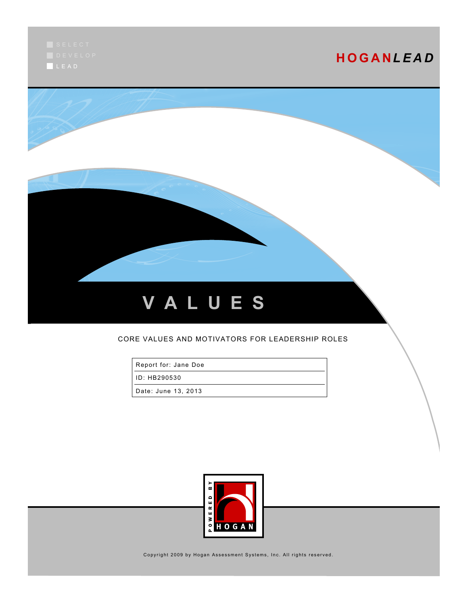L E A D

# **H O G A N***L E A D*



#### CORE VALUES AND MOTIVATORS FOR LEADERSHIP ROLES

Report for: Jane Doe

ID: HB290530

Date: June 13, 2013



Copyright 2009 by Hogan Assessment Systems, Inc. All rights reserved.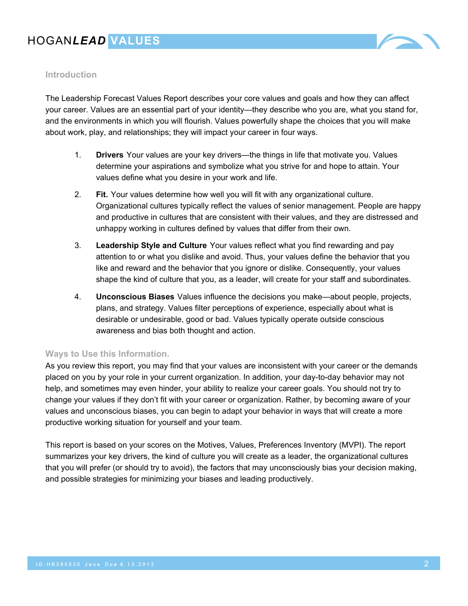

### **Introduction**

The Leadership Forecast Values Report describes your core values and goals and how they can affect your career. Values are an essential part of your identity—they describe who you are, what you stand for, and the environments in which you will flourish. Values powerfully shape the choices that you will make about work, play, and relationships; they will impact your career in four ways.

- 1. **Drivers** Your values are your key drivers—the things in life that motivate you. Values determine your aspirations and symbolize what you strive for and hope to attain. Your values define what you desire in your work and life.
- 2. **Fit.** Your values determine how well you will fit with any organizational culture. Organizational cultures typically reflect the values of senior management. People are happy and productive in cultures that are consistent with their values, and they are distressed and unhappy working in cultures defined by values that differ from their own.
- 3. **Leadership Style and Culture** Your values reflect what you find rewarding and pay attention to or what you dislike and avoid. Thus, your values define the behavior that you like and reward and the behavior that you ignore or dislike. Consequently, your values shape the kind of culture that you, as a leader, will create for your staff and subordinates.
- 4. **Unconscious Biases** Values influence the decisions you make—about people, projects, plans, and strategy. Values filter perceptions of experience, especially about what is desirable or undesirable, good or bad. Values typically operate outside conscious awareness and bias both thought and action.

#### **Ways to Use this Information.**

As you review this report, you may find that your values are inconsistent with your career or the demands placed on you by your role in your current organization. In addition, your day-to-day behavior may not help, and sometimes may even hinder, your ability to realize your career goals. You should not try to change your values if they don't fit with your career or organization. Rather, by becoming aware of your values and unconscious biases, you can begin to adapt your behavior in ways that will create a more productive working situation for yourself and your team.

This report is based on your scores on the Motives, Values, Preferences Inventory (MVPI). The report summarizes your key drivers, the kind of culture you will create as a leader, the organizational cultures that you will prefer (or should try to avoid), the factors that may unconsciously bias your decision making, and possible strategies for minimizing your biases and leading productively.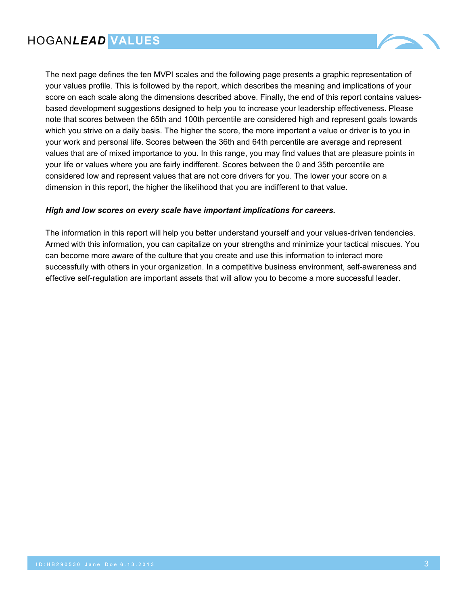

The next page defines the ten MVPI scales and the following page presents a graphic representation of your values profile. This is followed by the report, which describes the meaning and implications of your score on each scale along the dimensions described above. Finally, the end of this report contains valuesbased development suggestions designed to help you to increase your leadership effectiveness. Please note that scores between the 65th and 100th percentile are considered high and represent goals towards which you strive on a daily basis. The higher the score, the more important a value or driver is to you in your work and personal life. Scores between the 36th and 64th percentile are average and represent values that are of mixed importance to you. In this range, you may find values that are pleasure points in your life or values where you are fairly indifferent. Scores between the 0 and 35th percentile are considered low and represent values that are not core drivers for you. The lower your score on a dimension in this report, the higher the likelihood that you are indifferent to that value.

#### *High and low scores on every scale have important implications for careers.*

The information in this report will help you better understand yourself and your values-driven tendencies. Armed with this information, you can capitalize on your strengths and minimize your tactical miscues. You can become more aware of the culture that you create and use this information to interact more successfully with others in your organization. In a competitive business environment, self-awareness and effective self-regulation are important assets that will allow you to become a more successful leader.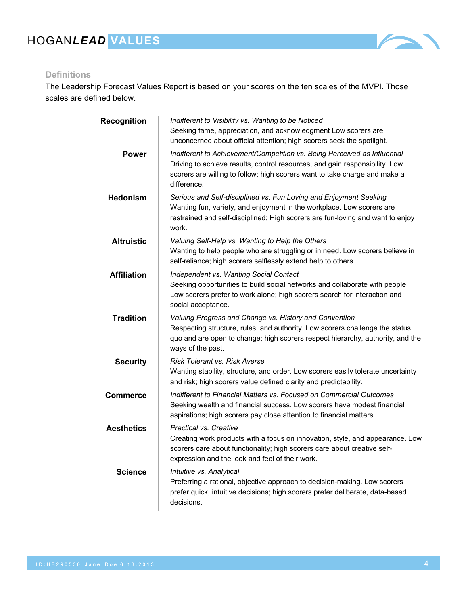

### **Definitions**

The Leadership Forecast Values Report is based on your scores on the ten scales of the MVPI. Those scales are defined below.

| Recognition        | Indifferent to Visibility vs. Wanting to be Noticed<br>Seeking fame, appreciation, and acknowledgment Low scorers are<br>unconcerned about official attention; high scorers seek the spotlight.                                                       |
|--------------------|-------------------------------------------------------------------------------------------------------------------------------------------------------------------------------------------------------------------------------------------------------|
| <b>Power</b>       | Indifferent to Achievement/Competition vs. Being Perceived as Influential<br>Driving to achieve results, control resources, and gain responsibility. Low<br>scorers are willing to follow; high scorers want to take charge and make a<br>difference. |
| <b>Hedonism</b>    | Serious and Self-disciplined vs. Fun Loving and Enjoyment Seeking<br>Wanting fun, variety, and enjoyment in the workplace. Low scorers are<br>restrained and self-disciplined; High scorers are fun-loving and want to enjoy<br>work.                 |
| <b>Altruistic</b>  | Valuing Self-Help vs. Wanting to Help the Others<br>Wanting to help people who are struggling or in need. Low scorers believe in<br>self-reliance; high scorers selflessly extend help to others.                                                     |
| <b>Affiliation</b> | Independent vs. Wanting Social Contact<br>Seeking opportunities to build social networks and collaborate with people.<br>Low scorers prefer to work alone; high scorers search for interaction and<br>social acceptance.                              |
| <b>Tradition</b>   | Valuing Progress and Change vs. History and Convention<br>Respecting structure, rules, and authority. Low scorers challenge the status<br>quo and are open to change; high scorers respect hierarchy, authority, and the<br>ways of the past.         |
| <b>Security</b>    | Risk Tolerant vs. Risk Averse<br>Wanting stability, structure, and order. Low scorers easily tolerate uncertainty<br>and risk; high scorers value defined clarity and predictability.                                                                 |
| <b>Commerce</b>    | Indifferent to Financial Matters vs. Focused on Commercial Outcomes<br>Seeking wealth and financial success. Low scorers have modest financial<br>aspirations; high scorers pay close attention to financial matters.                                 |
| <b>Aesthetics</b>  | Practical vs. Creative<br>Creating work products with a focus on innovation, style, and appearance. Low<br>scorers care about functionality; high scorers care about creative self-<br>expression and the look and feel of their work.                |
| Science            | Intuitive vs. Analytical<br>Preferring a rational, objective approach to decision-making. Low scorers<br>prefer quick, intuitive decisions; high scorers prefer deliberate, data-based<br>decisions.                                                  |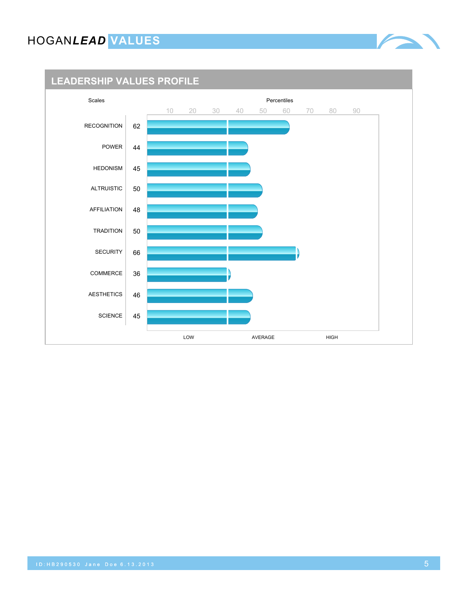### **LEADERSHIP VALUES PROFILE**

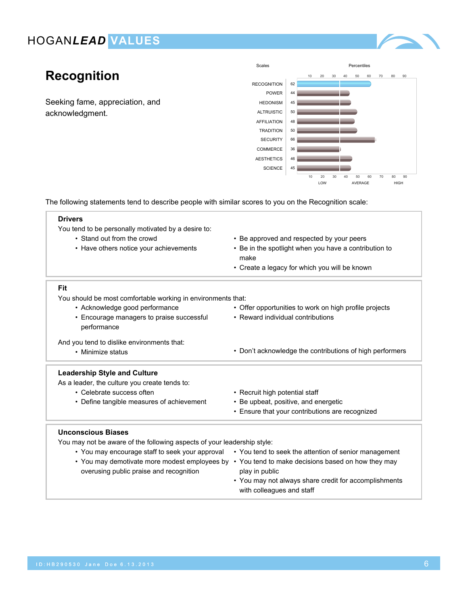

# **Recognition**

Seeking fame, appreciation, and acknowledgment.



The following statements tend to describe people with similar scores to you on the Recognition scale:

| <b>Drivers</b>                                                          |                                                                                                       |  |  |
|-------------------------------------------------------------------------|-------------------------------------------------------------------------------------------------------|--|--|
| You tend to be personally motivated by a desire to:                     |                                                                                                       |  |  |
| • Stand out from the crowd                                              | • Be approved and respected by your peers                                                             |  |  |
| • Have others notice your achievements                                  | • Be in the spotlight when you have a contribution to                                                 |  |  |
|                                                                         | make                                                                                                  |  |  |
|                                                                         | • Create a legacy for which you will be known                                                         |  |  |
| Fit                                                                     |                                                                                                       |  |  |
| You should be most comfortable working in environments that:            |                                                                                                       |  |  |
| • Acknowledge good performance                                          | • Offer opportunities to work on high profile projects                                                |  |  |
| • Encourage managers to praise successful                               | • Reward individual contributions                                                                     |  |  |
| performance                                                             |                                                                                                       |  |  |
| And you tend to dislike environments that:                              |                                                                                                       |  |  |
| • Minimize status                                                       | • Don't acknowledge the contributions of high performers                                              |  |  |
| <b>Leadership Style and Culture</b>                                     |                                                                                                       |  |  |
| As a leader, the culture you create tends to:                           |                                                                                                       |  |  |
| • Celebrate success often                                               | • Recruit high potential staff                                                                        |  |  |
| • Define tangible measures of achievement                               | • Be upbeat, positive, and energetic                                                                  |  |  |
|                                                                         | • Ensure that your contributions are recognized                                                       |  |  |
|                                                                         |                                                                                                       |  |  |
| <b>Unconscious Biases</b>                                               |                                                                                                       |  |  |
| You may not be aware of the following aspects of your leadership style: |                                                                                                       |  |  |
|                                                                         | • You may encourage staff to seek your approval • You tend to seek the attention of senior management |  |  |
|                                                                         | • You may demotivate more modest employees by • You tend to make decisions based on how they may      |  |  |

- overusing public praise and recognition
- You tend to make decisions based on how they may
- 
- play in public • You may not always share credit for accomplishments with colleagues and staff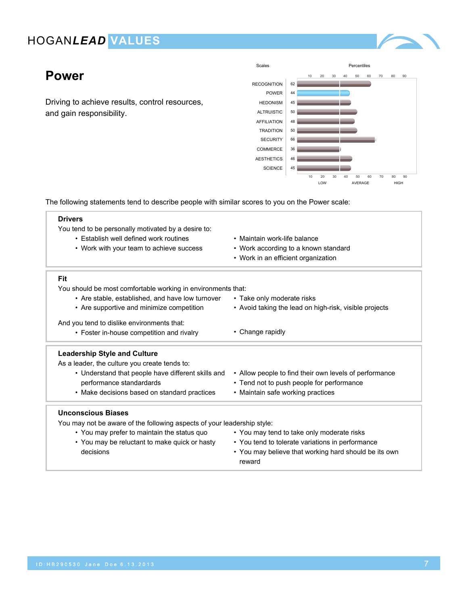### **Power**

Driving to achieve results, control resources, and gain responsibility.



The following statements tend to describe people with similar scores to you on the Power scale:

#### **Drivers**

You tend to be personally motivated by a desire to:

- Establish well defined work routines
- Work with your team to achieve success
- Maintain work-life balance

• Take only moderate risks

- Work according to a known standard
- Work in an efficient organization

#### **Fit**

You should be most comfortable working in environments that:

- Are stable, established, and have low turnover
- Are supportive and minimize competition • Avoid taking the lead on high-risk, visible projects

And you tend to dislike environments that:

• Foster in-house competition and rivalry • Change rapidly

#### **Leadership Style and Culture**

As a leader, the culture you create tends to:

• Understand that people have different skills and performance standardards • Make decisions based on standard practices • Allow people to find their own levels of performance • Tend not to push people for performance • Maintain safe working practices

#### **Unconscious Biases**

- You may prefer to maintain the status quo
- You may be reluctant to make quick or hasty decisions
- You may tend to take only moderate risks
- You tend to tolerate variations in performance
- You may believe that working hard should be its own reward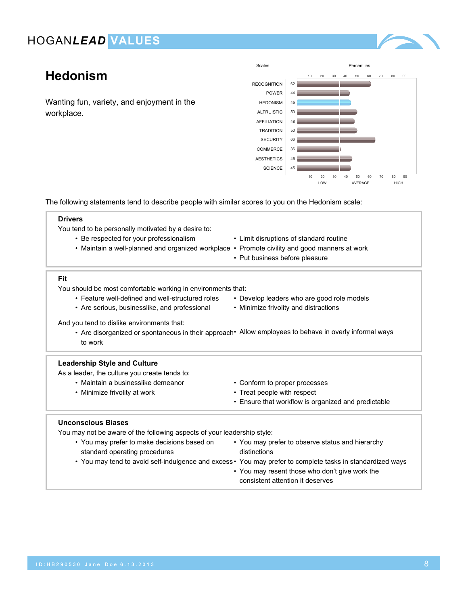

# **Hedonism**

Wanting fun, variety, and enjoyment in the workplace.



The following statements tend to describe people with similar scores to you on the Hedonism scale:

#### **Drivers**

You tend to be personally motivated by a desire to:

- Be respected for your professionalism
- Maintain a well-planned and organized workplace Promote civility and good manners at work
- Limit disruptions of standard routine
	-
	- Put business before pleasure

#### **Fit**

You should be most comfortable working in environments that:

- Feature well-defined and well-structured roles
- Are serious, businesslike, and professional
- Develop leaders who are good role models
- Minimize frivolity and distractions

And you tend to dislike environments that:

• Are disorganized or spontaneous in their approach• Allow employees to behave in overly informal ways to work

#### **Leadership Style and Culture**

As a leader, the culture you create tends to:

- Maintain a businesslike demeanor
- Minimize frivolity at work
- Conform to proper processes
- Treat people with respect
- Ensure that workflow is organized and predictable

#### **Unconscious Biases**

- You may prefer to make decisions based on standard operating procedures
- You may prefer to observe status and hierarchy distinctions
- You may tend to avoid self-indulgence and excess You may prefer to complete tasks in standardized ways
	- You may resent those who don't give work the consistent attention it deserves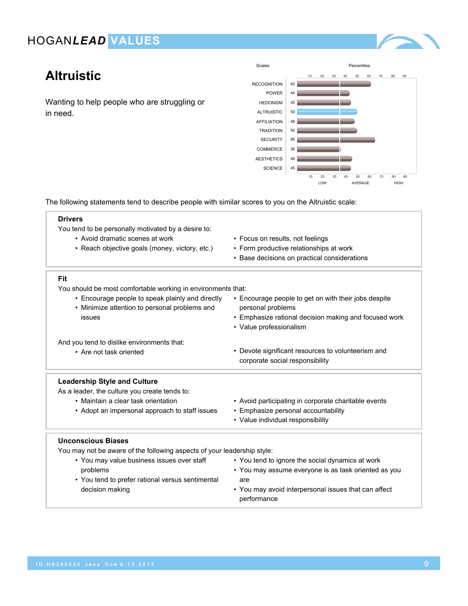

# **Altruistic**

Wanting to help people who are struggling or in need.



• You may avoid interpersonal issues that can affect

The following statements tend to describe people with similar scores to you on the Altruistic scale:

| <b>Drivers</b>                                                          |                                                       |  |  |
|-------------------------------------------------------------------------|-------------------------------------------------------|--|--|
| You tend to be personally motivated by a desire to:                     |                                                       |  |  |
| • Avoid dramatic scenes at work                                         | • Focus on results, not feelings                      |  |  |
| • Reach objective goals (money, victory, etc.)                          | • Form productive relationships at work               |  |  |
|                                                                         | • Base decisions on practical considerations          |  |  |
| Fit                                                                     |                                                       |  |  |
| You should be most comfortable working in environments that:            |                                                       |  |  |
| • Encourage people to speak plainly and directly                        | • Encourage people to get on with their jobs despite  |  |  |
| • Minimize attention to personal problems and                           | personal problems                                     |  |  |
| issues                                                                  | • Emphasize rational decision making and focused work |  |  |
|                                                                         | • Value professionalism                               |  |  |
| And you tend to dislike environments that:                              |                                                       |  |  |
| • Are not task oriented                                                 | • Devote significant resources to volunteerism and    |  |  |
|                                                                         | corporate social responsibility                       |  |  |
| <b>Leadership Style and Culture</b>                                     |                                                       |  |  |
| As a leader, the culture you create tends to:                           |                                                       |  |  |
| • Maintain a clear task orientation                                     | • Avoid participating in corporate charitable events  |  |  |
| • Adopt an impersonal approach to staff issues                          | • Emphasize personal accountability                   |  |  |
|                                                                         | • Value individual responsibility                     |  |  |
| <b>Unconscious Biases</b>                                               |                                                       |  |  |
| You may not be aware of the following aspects of your leadership style: |                                                       |  |  |
| • You may value business issues over staff                              | • You tend to ignore the social dynamics at work      |  |  |
| problems                                                                | • You may assume everyone is as task oriented as you  |  |  |
| • You tend to prefer rational versus sentimental                        | are                                                   |  |  |

performance

• You tend to prefer rational versus sentimental decision making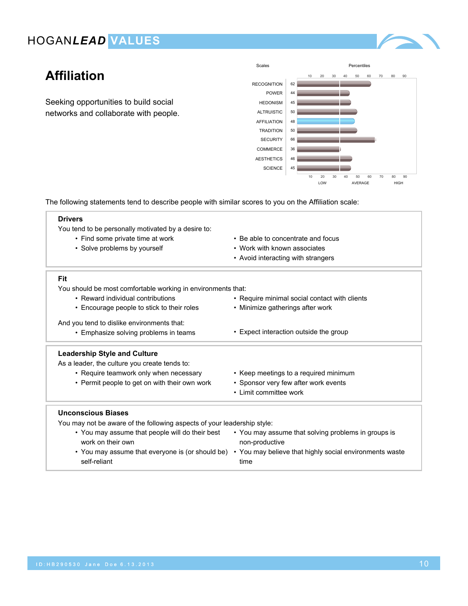

# **Affiliation**

Seeking opportunities to build social networks and collaborate with people.



The following statements tend to describe people with similar scores to you on the Affiliation scale:

#### **Drivers**

You tend to be personally motivated by a desire to:

- Find some private time at work
- Solve problems by yourself
- Be able to concentrate and focus
- Work with known associates
- Avoid interacting with strangers

• Minimize gatherings after work

#### **Fit**

You should be most comfortable working in environments that:

- Reward individual contributions
- Encourage people to stick to their roles

And you tend to dislike environments that:

• Emphasize solving problems in teams • Expect interaction outside the group

#### **Leadership Style and Culture**

As a leader, the culture you create tends to:

- Require teamwork only when necessary
	- Permit people to get on with their own work
- Keep meetings to a required minimum

• Require minimal social contact with clients

- Sponsor very few after work events
- Limit committee work

#### **Unconscious Biases**

You may not be aware of the following aspects of your leadership style:

• You may assume that people will do their best work on their own • You may assume that everyone is (or should be) • You may believe that highly social environments waste self-reliant • You may assume that solving problems in groups is non-productive time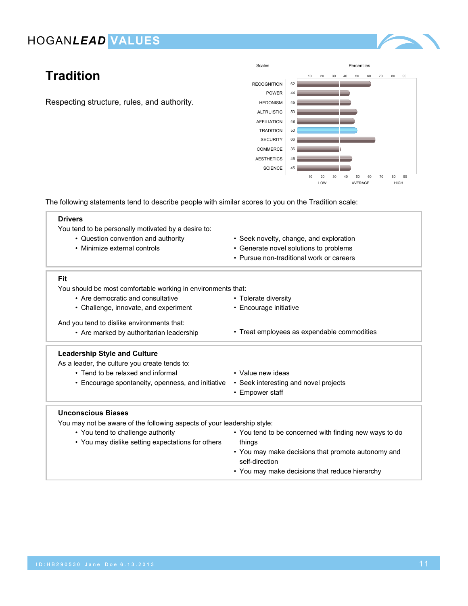

# **Tradition**

Respecting structure, rules, and authority.



The following statements tend to describe people with similar scores to you on the Tradition scale:

| irive |
|-------|
|-------|

You tend to be personally motivated by a desire to:

- Question convention and authority
- Minimize external controls
- Seek novelty, change, and exploration
- Generate novel solutions to problems
- Pursue non-traditional work or careers

#### **Fit**

You should be most comfortable working in environments that:

- Are democratic and consultative
- Challenge, innovate, and experiment

And you tend to dislike environments that:

• Are marked by authoritarian leadership • Treat employees as expendable commodities

#### **Leadership Style and Culture**

As a leader, the culture you create tends to:

- Tend to be relaxed and informal
- Encourage spontaneity, openness, and initiative
- Value new ideas

• Tolerate diversity • Encourage initiative

- Seek interesting and novel projects
- Empower staff

#### **Unconscious Biases**

- You tend to challenge authority
- You may dislike setting expectations for others
- You tend to be concerned with finding new ways to do things • You may make decisions that promote autonomy and
- self-direction
- You may make decisions that reduce hierarchy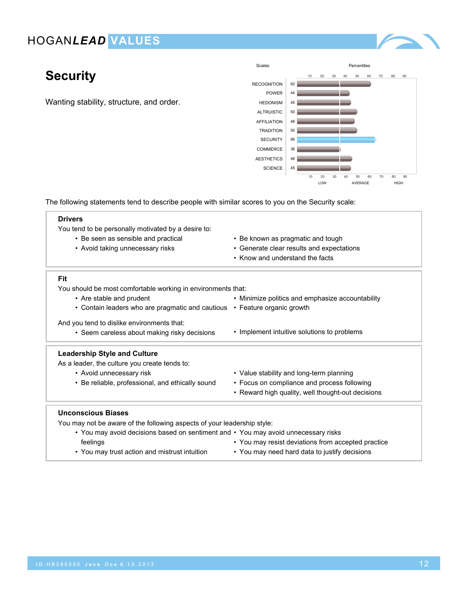

# **Security**

Wanting stability, structure, and order.



The following statements tend to describe people with similar scores to you on the Security scale:

| <b>Drivers</b><br>You tend to be personally motivated by a desire to:              |                                                    |  |
|------------------------------------------------------------------------------------|----------------------------------------------------|--|
| • Be seen as sensible and practical                                                | • Be known as pragmatic and tough                  |  |
| • Avoid taking unnecessary risks                                                   | • Generate clear results and expectations          |  |
|                                                                                    | • Know and understand the facts                    |  |
| Fit                                                                                |                                                    |  |
| You should be most comfortable working in environments that:                       |                                                    |  |
| • Are stable and prudent                                                           | • Minimize politics and emphasize accountability   |  |
| • Contain leaders who are pragmatic and cautious                                   | • Feature organic growth                           |  |
| And you tend to dislike environments that:                                         |                                                    |  |
| • Seem careless about making risky decisions                                       | • Implement intuitive solutions to problems        |  |
| <b>Leadership Style and Culture</b>                                                |                                                    |  |
| As a leader, the culture you create tends to:                                      |                                                    |  |
| • Avoid unnecessary risk                                                           | • Value stability and long-term planning           |  |
| • Be reliable, professional, and ethically sound                                   | • Focus on compliance and process following        |  |
|                                                                                    | • Reward high quality, well thought-out decisions  |  |
| <b>Unconscious Biases</b>                                                          |                                                    |  |
| You may not be aware of the following aspects of your leadership style:            |                                                    |  |
| • You may avoid decisions based on sentiment and • You may avoid unnecessary risks |                                                    |  |
| feelings                                                                           | • You may resist deviations from accepted practice |  |

• You may need hard data to justify decisions

• You may trust action and mistrust intuition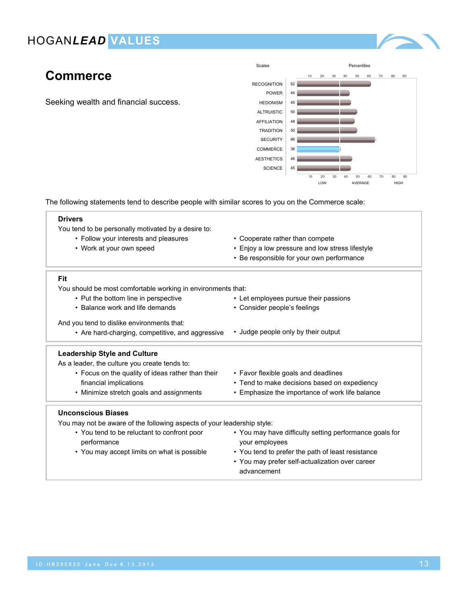

# **Commerce**

Seeking wealth and financial success.



The following statements tend to describe people with similar scores to you on the Commerce scale:

| <b>Drivers</b>                                                          |                                                         |  |  |
|-------------------------------------------------------------------------|---------------------------------------------------------|--|--|
| You tend to be personally motivated by a desire to:                     |                                                         |  |  |
| • Follow your interests and pleasures                                   | • Cooperate rather than compete                         |  |  |
| • Work at your own speed                                                | • Enjoy a low pressure and low stress lifestyle         |  |  |
|                                                                         | • Be responsible for your own performance               |  |  |
| Fit                                                                     |                                                         |  |  |
| You should be most comfortable working in environments that:            |                                                         |  |  |
| • Put the bottom line in perspective                                    | • Let employees pursue their passions                   |  |  |
| • Balance work and life demands                                         | • Consider people's feelings                            |  |  |
| And you tend to dislike environments that:                              |                                                         |  |  |
| • Are hard-charging, competitive, and aggressive                        | • Judge people only by their output                     |  |  |
| <b>Leadership Style and Culture</b>                                     |                                                         |  |  |
| As a leader, the culture you create tends to:                           |                                                         |  |  |
| • Focus on the quality of ideas rather than their                       | • Favor flexible goals and deadlines                    |  |  |
| financial implications                                                  | • Tend to make decisions based on expediency            |  |  |
| • Minimize stretch goals and assignments                                | • Emphasize the importance of work life balance         |  |  |
| <b>Unconscious Biases</b>                                               |                                                         |  |  |
| You may not be aware of the following aspects of your leadership style: |                                                         |  |  |
| • You tend to be reluctant to confront poor                             | • You may have difficulty setting performance goals for |  |  |
| performance                                                             | your employees                                          |  |  |

• You may accept limits on what is possible • You tend to prefer the path of least resistance • You may prefer self-actualization over career advancement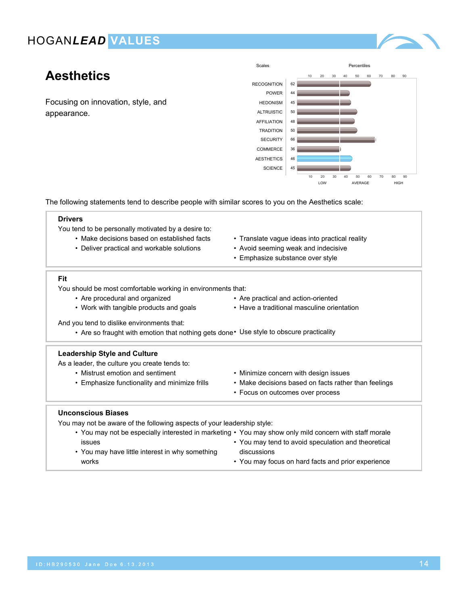# **Aesthetics**

Focusing on innovation, style, and appearance.



The following statements tend to describe people with similar scores to you on the Aesthetics scale:

#### **Drivers**

You tend to be personally motivated by a desire to:

- Make decisions based on established facts
- Deliver practical and workable solutions
- Translate vague ideas into practical reality
- Avoid seeming weak and indecisive
- Emphasize substance over style

#### **Fit**

You should be most comfortable working in environments that:

- Are procedural and organized
- Work with tangible products and goals
- Are practical and action-oriented
- Have a traditional masculine orientation

And you tend to dislike environments that:

• Are so fraught with emotion that nothing gets done• Use style to obscure practicality

#### **Leadership Style and Culture**

As a leader, the culture you create tends to:

- Mistrust emotion and sentiment
- Emphasize functionality and minimize frills
- Minimize concern with design issues
- Make decisions based on facts rather than feelings
- Focus on outcomes over process

#### **Unconscious Biases**

| • You may not be especially interested in marketing • You may show only mild concern with staff morale |                                                     |
|--------------------------------------------------------------------------------------------------------|-----------------------------------------------------|
| <b>ISSUES</b>                                                                                          | • You may tend to avoid speculation and theoretical |
| • You may have little interest in why something                                                        | discussions                                         |
| works                                                                                                  | • You may focus on hard facts and prior experience  |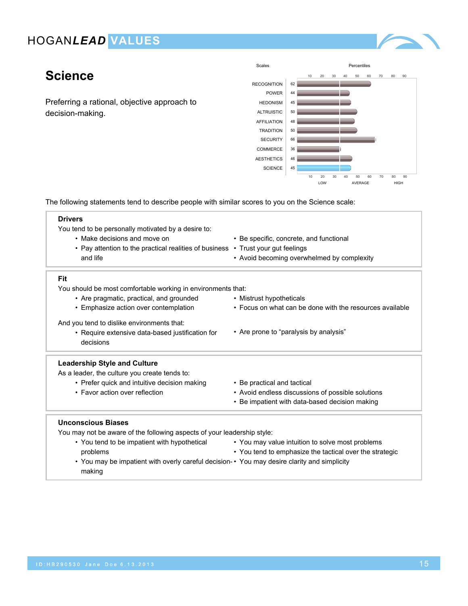

# **Science**

Preferring a rational, objective approach to decision-making.



The following statements tend to describe people with similar scores to you on the Science scale:

| <b>Drivers</b>                                                                   |                                                                                               |  |  |
|----------------------------------------------------------------------------------|-----------------------------------------------------------------------------------------------|--|--|
| You tend to be personally motivated by a desire to:                              |                                                                                               |  |  |
| • Make decisions and move on                                                     | • Be specific, concrete, and functional                                                       |  |  |
| • Pay attention to the practical realities of business • Trust your gut feelings |                                                                                               |  |  |
| and life                                                                         | • Avoid becoming overwhelmed by complexity                                                    |  |  |
| Fit                                                                              |                                                                                               |  |  |
| You should be most comfortable working in environments that:                     |                                                                                               |  |  |
| • Are pragmatic, practical, and grounded                                         | • Mistrust hypotheticals                                                                      |  |  |
| • Emphasize action over contemplation                                            | • Focus on what can be done with the resources available                                      |  |  |
| And you tend to dislike environments that:                                       |                                                                                               |  |  |
| • Require extensive data-based justification for                                 | • Are prone to "paralysis by analysis"                                                        |  |  |
| decisions                                                                        |                                                                                               |  |  |
| <b>Leadership Style and Culture</b>                                              |                                                                                               |  |  |
| As a leader, the culture you create tends to:                                    |                                                                                               |  |  |
| • Prefer quick and intuitive decision making                                     | • Be practical and tactical                                                                   |  |  |
| • Favor action over reflection                                                   | • Avoid endless discussions of possible solutions                                             |  |  |
|                                                                                  | • Be impatient with data-based decision making                                                |  |  |
| <b>Unconscious Biases</b>                                                        |                                                                                               |  |  |
| You may not be aware of the following aspects of your leadership style:          |                                                                                               |  |  |
|                                                                                  | Nou tend to be important with bypothetical and May mou value intuition to solve meet problems |  |  |

- You tend to be impatient with hypothetical problems
- You may value intuition to solve most problems
- You tend to emphasize the tactical over the strategic
- You may be impatient with overly careful decision-• You may desire clarity and simplicity making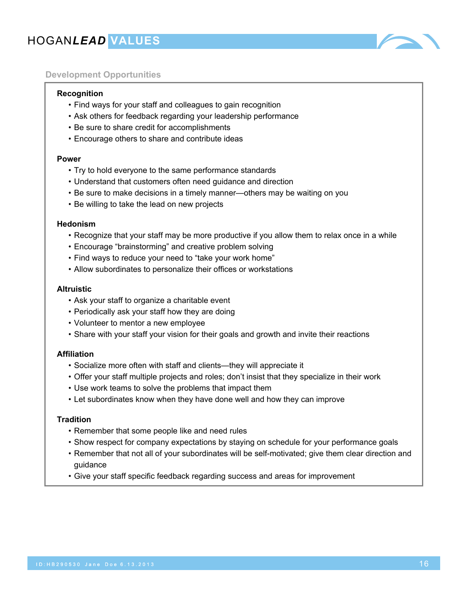![](_page_15_Picture_1.jpeg)

### **Development Opportunities**

#### **Recognition**

- Find ways for your staff and colleagues to gain recognition
- Ask others for feedback regarding your leadership performance
- Be sure to share credit for accomplishments
- Encourage others to share and contribute ideas

#### **Power**

- Try to hold everyone to the same performance standards
- Understand that customers often need guidance and direction
- Be sure to make decisions in a timely manner—others may be waiting on you
- Be willing to take the lead on new projects

#### **Hedonism**

- Recognize that your staff may be more productive if you allow them to relax once in a while
- Encourage "brainstorming" and creative problem solving
- Find ways to reduce your need to "take your work home"
- Allow subordinates to personalize their offices or workstations

#### **Altruistic**

- Ask your staff to organize a charitable event
- Periodically ask your staff how they are doing
- Volunteer to mentor a new employee
- Share with your staff your vision for their goals and growth and invite their reactions

#### **Affiliation**

- Socialize more often with staff and clients—they will appreciate it
- Offer your staff multiple projects and roles; don't insist that they specialize in their work
- Use work teams to solve the problems that impact them
- Let subordinates know when they have done well and how they can improve

#### **Tradition**

- Remember that some people like and need rules
- Show respect for company expectations by staying on schedule for your performance goals
- Remember that not all of your subordinates will be self-motivated; give them clear direction and guidance
- Give your staff specific feedback regarding success and areas for improvement